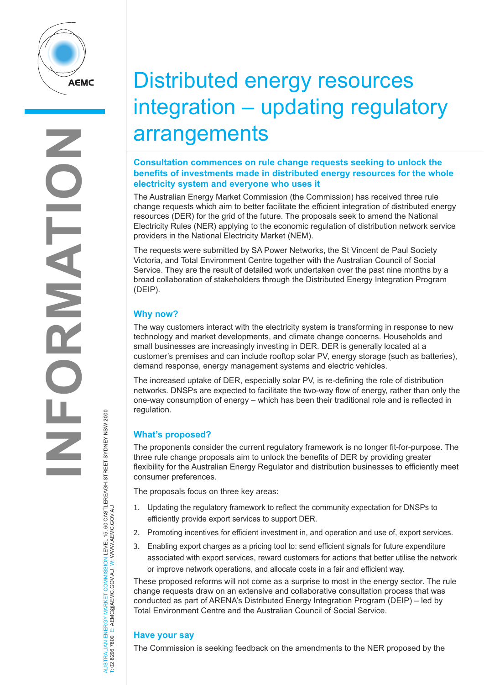

# Distributed energy resources integration – updating regulatory arrangements

#### **Consultation commences on rule change requests seeking to unlock the benefits of investments made in distributed energy resources for the whole electricity system and everyone who uses it**

The Australian Energy Market Commission (the Commission) has received three rule change requests which aim to better facilitate the efficient integration of distributed energy resources (DER) for the grid of the future. The proposals seek to amend the National Electricity Rules (NER) applying to the economic regulation of distribution network service providers in the National Electricity Market (NEM).

The requests were submitted by SA Power Networks, the St Vincent de Paul Society Victoria, and Total Environment Centre together with the Australian Council of Social Service. They are the result of detailed work undertaken over the past nine months by a broad collaboration of stakeholders through the Distributed Energy Integration Program (DEIP).

# **Why now?**

The way customers interact with the electricity system is transforming in response to new technology and market developments, and climate change concerns. Households and small businesses are increasingly investing in DER. DER is generally located at a customer's premises and can include rooftop solar PV, energy storage (such as batteries), demand response, energy management systems and electric vehicles.

The increased uptake of DER, especially solar PV, is re-defining the role of distribution networks. DNSPs are expected to facilitate the two-way flow of energy, rather than only the one-way consumption of energy – which has been their traditional role and is reflected in regulation.

## **What's proposed?**

The proponents consider the current regulatory framework is no longer fit-for-purpose. The three rule change proposals aim to unlock the benefits of DER by providing greater flexibility for the Australian Energy Regulator and distribution businesses to efficiently meet consumer preferences.

The proposals focus on three key areas:

- 1. Updating the regulatory framework to reflect the community expectation for DNSPs to efficiently provide export services to support DER.
- 2. Promoting incentives for efficient investment in, and operation and use of, export services.
- 3. Enabling export charges as a pricing tool to: send efficient signals for future expenditure associated with export services, reward customers for actions that better utilise the network or improve network operations, and allocate costs in a fair and efficient way.

These proposed reforms will not come as a surprise to most in the energy sector. The rule change requests draw on an extensive and collaborative consultation process that was conducted as part of ARENA's Distributed Energy Integration Program (DEIP) – led by Total Environment Centre and the Australian Council of Social Service.

## **Have your say**

The Commission is seeking feedback on the amendments to the NER proposed by the

AUSTRALIAN ENERGY MARKET COMMISSION LEVEL 15, 60 CASTLEREAGH STREET SYDNEY NSW 2000<br>T: 02 8296 7800 E: AEMC@AEMC.GOV.AU W: WWW.AEMC.GOV.AU AUSTRALIAN ENERGY MARKET COMMISSION LEVEL 15, 60 CASTLEREAGH STREET SYDNEY NSW 2000 T: 02 8296 7800 E: AEMC@AEMC.GOV.AU W: WWW.AEMC.GOV.AU